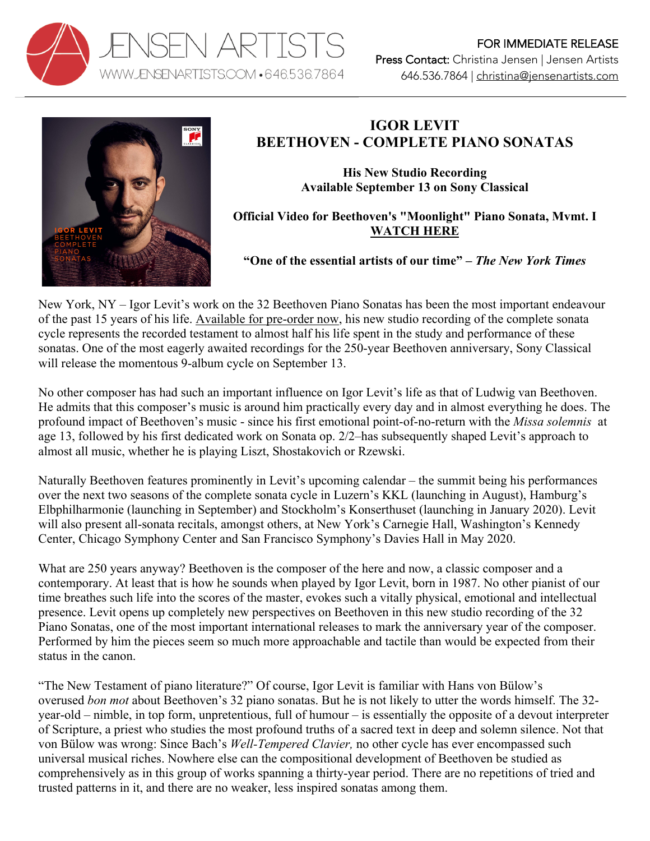



## **IGOR LEVIT BEETHOVEN - COMPLETE PIANO SONATAS**

**His New Studio Recording Available September 13 on Sony Classical**

**Official Video for Beethoven's "Moonlight" Piano Sonata, Mvmt. I WATCH HERE**

**"One of the essential artists of our time" –** *The New York Times*

New York, NY – Igor Levit's work on the 32 Beethoven Piano Sonatas has been the most important endeavour of the past 15 years of his life. Available for pre-order now, his new studio recording of the complete sonata cycle represents the recorded testament to almost half his life spent in the study and performance of these sonatas. One of the most eagerly awaited recordings for the 250-year Beethoven anniversary, Sony Classical will release the momentous 9-album cycle on September 13.

No other composer has had such an important influence on Igor Levit's life as that of Ludwig van Beethoven. He admits that this composer's music is around him practically every day and in almost everything he does. The profound impact of Beethoven's music - since his first emotional point-of-no-return with the *Missa solemnis* at age 13, followed by his first dedicated work on Sonata op. 2/2–has subsequently shaped Levit's approach to almost all music, whether he is playing Liszt, Shostakovich or Rzewski.

Naturally Beethoven features prominently in Levit's upcoming calendar – the summit being his performances over the next two seasons of the complete sonata cycle in Luzern's KKL (launching in August), Hamburg's Elbphilharmonie (launching in September) and Stockholm's Konserthuset (launching in January 2020). Levit will also present all-sonata recitals, amongst others, at New York's Carnegie Hall, Washington's Kennedy Center, Chicago Symphony Center and San Francisco Symphony's Davies Hall in May 2020.

What are 250 years anyway? Beethoven is the composer of the here and now, a classic composer and a contemporary. At least that is how he sounds when played by Igor Levit, born in 1987. No other pianist of our time breathes such life into the scores of the master, evokes such a vitally physical, emotional and intellectual presence. Levit opens up completely new perspectives on Beethoven in this new studio recording of the 32 Piano Sonatas, one of the most important international releases to mark the anniversary year of the composer. Performed by him the pieces seem so much more approachable and tactile than would be expected from their status in the canon.

"The New Testament of piano literature?" Of course, Igor Levit is familiar with Hans von Bülow's overused *bon mot* about Beethoven's 32 piano sonatas. But he is not likely to utter the words himself. The 32 year-old – nimble, in top form, unpretentious, full of humour – is essentially the opposite of a devout interpreter of Scripture, a priest who studies the most profound truths of a sacred text in deep and solemn silence. Not that von Bülow was wrong: Since Bach's *Well-Tempered Clavier,* no other cycle has ever encompassed such universal musical riches. Nowhere else can the compositional development of Beethoven be studied as comprehensively as in this group of works spanning a thirty-year period. There are no repetitions of tried and trusted patterns in it, and there are no weaker, less inspired sonatas among them.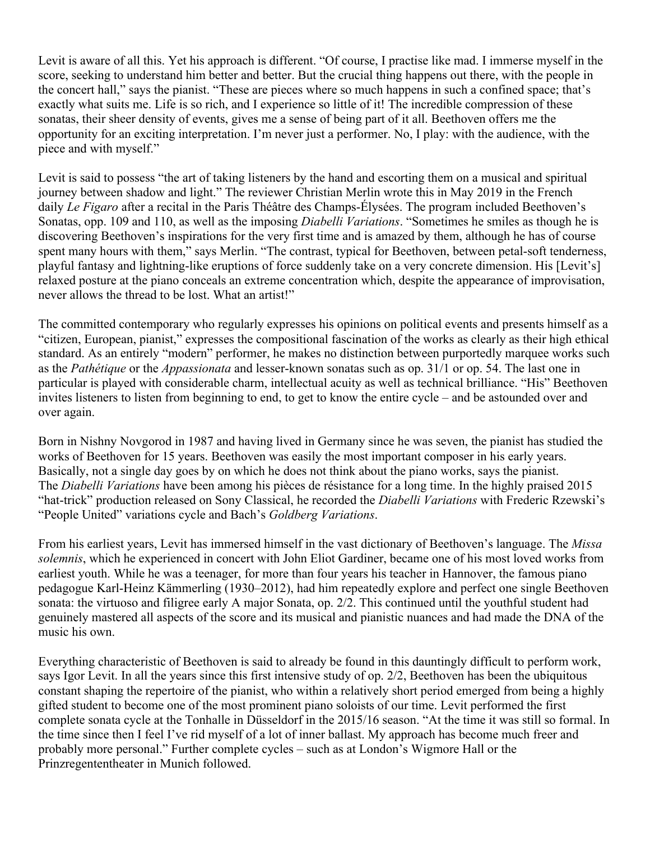Levit is aware of all this. Yet his approach is different. "Of course, I practise like mad. I immerse myself in the score, seeking to understand him better and better. But the crucial thing happens out there, with the people in the concert hall," says the pianist. "These are pieces where so much happens in such a confined space; that's exactly what suits me. Life is so rich, and I experience so little of it! The incredible compression of these sonatas, their sheer density of events, gives me a sense of being part of it all. Beethoven offers me the opportunity for an exciting interpretation. I'm never just a performer. No, I play: with the audience, with the piece and with myself."

Levit is said to possess "the art of taking listeners by the hand and escorting them on a musical and spiritual journey between shadow and light." The reviewer Christian Merlin wrote this in May 2019 in the French daily *Le Figaro* after a recital in the Paris Théâtre des Champs-Élysées. The program included Beethoven's Sonatas, opp. 109 and 110, as well as the imposing *Diabelli Variations*. "Sometimes he smiles as though he is discovering Beethoven's inspirations for the very first time and is amazed by them, although he has of course spent many hours with them," says Merlin. "The contrast, typical for Beethoven, between petal-soft tenderness, playful fantasy and lightning-like eruptions of force suddenly take on a very concrete dimension. His [Levit's] relaxed posture at the piano conceals an extreme concentration which, despite the appearance of improvisation, never allows the thread to be lost. What an artist!"

The committed contemporary who regularly expresses his opinions on political events and presents himself as a "citizen, European, pianist," expresses the compositional fascination of the works as clearly as their high ethical standard. As an entirely "modern" performer, he makes no distinction between purportedly marquee works such as the *Pathétique* or the *Appassionata* and lesser-known sonatas such as op. 31/1 or op. 54. The last one in particular is played with considerable charm, intellectual acuity as well as technical brilliance. "His" Beethoven invites listeners to listen from beginning to end, to get to know the entire cycle – and be astounded over and over again.

Born in Nishny Novgorod in 1987 and having lived in Germany since he was seven, the pianist has studied the works of Beethoven for 15 years. Beethoven was easily the most important composer in his early years. Basically, not a single day goes by on which he does not think about the piano works, says the pianist. The *Diabelli Variations* have been among his pièces de résistance for a long time. In the highly praised 2015 "hat-trick" production released on Sony Classical, he recorded the *Diabelli Variations* with Frederic Rzewski's "People United" variations cycle and Bach's *Goldberg Variations*.

From his earliest years, Levit has immersed himself in the vast dictionary of Beethoven's language. The *Missa solemnis*, which he experienced in concert with John Eliot Gardiner, became one of his most loved works from earliest youth. While he was a teenager, for more than four years his teacher in Hannover, the famous piano pedagogue Karl-Heinz Kämmerling (1930–2012), had him repeatedly explore and perfect one single Beethoven sonata: the virtuoso and filigree early A major Sonata, op. 2/2. This continued until the youthful student had genuinely mastered all aspects of the score and its musical and pianistic nuances and had made the DNA of the music his own.

Everything characteristic of Beethoven is said to already be found in this dauntingly difficult to perform work, says Igor Levit. In all the years since this first intensive study of op. 2/2, Beethoven has been the ubiquitous constant shaping the repertoire of the pianist, who within a relatively short period emerged from being a highly gifted student to become one of the most prominent piano soloists of our time. Levit performed the first complete sonata cycle at the Tonhalle in Düsseldorf in the 2015/16 season. "At the time it was still so formal. In the time since then I feel I've rid myself of a lot of inner ballast. My approach has become much freer and probably more personal." Further complete cycles – such as at London's Wigmore Hall or the Prinzregententheater in Munich followed.